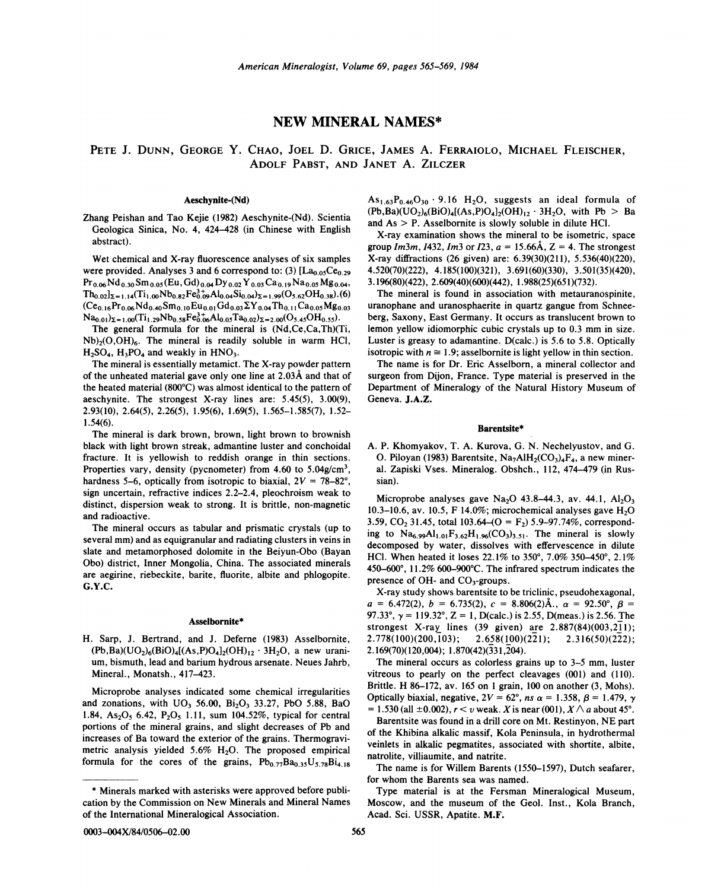## NEW MINERAL NAMES\*

# PETE J. DUNN, GEORGE Y. CHAO, JOEL D. GRICE, JAMES A. FERRAIOLO, MICHAEL FLEISCHER, ADOLF PABST, AND JANET A. ZILCZER

## Aeschynite-(Nd)

Zhang Peishan and Tao Kejie (1982) Aeschynite-(Nd). Scientia Geologica Sinica, No.4, 424-428 (in Chinese with English abstract).

Wet chemical and X-ray fluorescence analyses of six samples were provided. Analyses 3 and 6 correspond to: (3)  $[La_{0.05}Ce_{0.29}]$ Pr 0.06N d 0.30Sm *o.os* (Eu, Gd) 0.04Dy 0.02Y 0.03Ca 0.19N a *o.os* Mg 0.04,  $Th_{0.02}I_{\Sigma=1.14}(Ti_{1.00}Nb_{0.82}Fe_{0.09}^{3+}Al_{0.04}Si_{0.04})_{\Sigma=1.99}(O_{5.62}OH_{0.38})$ . (6)  $(Ce_{0.16}Pr_{0.06}Nd_{0.40}Sm_{0.10}Eu_{0.01}Gd_{0.03}\Sigma Y_{0.04}Th_{0.11}Ca_{0.05}Mg_{0.03}$  $Na_{0.01}z_{=1.00}(Ti_{1.29}Nb_{0.58}Fe_{0.06}^{3+}Al_{0.05}Ta_{0.02}z_{=2.00}(O_{5.45}OH_{0.55}).$ 

The general formula for the mineral is (Nd,Ce,Ca,Th)(Ti,  $Nb<sub>2</sub>(O,OH)<sub>6</sub>$ . The mineral is readily soluble in warm HCl,  $H<sub>2</sub>SO<sub>4</sub>$ ,  $H<sub>3</sub>PO<sub>4</sub>$  and weakly in  $HNO<sub>3</sub>$ .

The mineral is essentially metamict. The X-ray powder pattern of the unheated material gave only one line at 2.03.A and that of the heated material (800°C) was almost identical to the pattern of aeschynite. The strongest X-ray lines are: 5.45(5), 3.00(9), 2.93(10), 2.64(5), 2.26(5), 1.95(6), 1.69(5), 1.565-1.585(7), 1.52- 1.54(6).

The mineral is dark brown, brown, light brown to brownish black with light brown streak, admantine luster and conchoidal fracture. It is yellowish to reddish orange in thin sections. Properties vary, density (pycnometer) from 4.60 to 5.04g/cm<sup>3</sup>. hardness 5-6, optically from isotropic to biaxial, 2*V* = *78-82°,* sign uncertain, refractive indices 2.2-2.4, pleochroism weak to distinct, dispersion weak to strong. It is brittle, non-magnetic and radioactive.

The mineral occurs as tabular and prismatic crystals (up to several mm) and as equigranular and radiating clusters in veins in slate and metamorphosed dolomite in the Beiyun-Obo (Bayan Obo) district, Inner Mongolia, China. The associated minerals are aegirine, riebeckite, barite, fluorite, albite and phlogopite. G.Y.C.

#### Asselbornite\*

H. Sarp, J. Bertrand, and J. Deferne (1983) Asselbornite,  $(Pb, Ba)(UO<sub>2</sub>)<sub>6</sub>(BiO)<sub>4</sub>[(As, P)O<sub>4</sub>]<sub>2</sub>(OH)<sub>12</sub> · 3H<sub>2</sub>O, a new uraniumi$ um, bismuth, lead and barium hydrous arsenate. Neues Jahrb, Mineral., Monatsh., 417-423.

Microprobe analyses indicated some chemical irregularities and zonations, with  $UO_3$  56.00,  $Bi_2O_3$  33.27, PbO 5.88, BaO 1.84,  $As_2O_5$ , 6.42,  $P_2O_5$ , 1.11, sum 104.52%, typical for central portions of the mineral grains, and slight decreases of Pb and increases of Ba toward the exterior of the grains. Thermogravimetric analysis yielded  $5.6\%$  H<sub>2</sub>O. The proposed empirical formula for the cores of the grains,  $Pb_{0.77}Ba_{0.35}U_{5.78}Bi_{4.18}$ 

 $As<sub>1.63</sub>P<sub>0.46</sub>O<sub>30</sub> \cdot 9.16 H<sub>2</sub>O$ , suggests an ideal formula of  $(Pb, Ba)(UO<sub>2</sub>)<sub>6</sub>(BiO)<sub>4</sub>[(As, P)O<sub>4</sub>]<sub>2</sub>(OH)<sub>12</sub> · 3H<sub>2</sub>O, with Pb > Ba$ and  $As > P$ . Asselbornite is slowly soluble in dilute HCl.

X-ray examination shows the mineral to be isometric, space group  $Im3m$ ,  $1432$ ,  $Im3$  or  $I23$ ,  $a = 15.66\text{\AA}$ ,  $Z = 4$ . The stronges X-ray diffractions (26 given) are: 6.39(30)(211), 5.536(40)(220), 4.520(70)(222), 4.185(100)(321), 3.691(60)(330), 3.501(35)(420), 3.196(80)(422), 2.609(40)(600)(442), 1.988(25)(651)(732).

The mineral is found in association with metauranospinite, uranophane and uranosphaerite in quartz gangue from Schneeberg, Saxony, East Germany. It occurs as translucent brown to lemon yellow idiomorphic cubic crystals up to 0.3 mm in size. Luster is greasy to adamantine. D(calc.) is 5.6 to 5.8. Optically isotropic with  $n \approx 1.9$ ; asselbornite is light yellow in thin section.

The name is for Dr. Eric Asselborn, a mineral collector and surgeon from Dijon, France. Type material is preserved in the Department of Mineralogy of the Natural History Museum of Geneva. J.A.Z.

#### Barentsite\*

A. P. Khomyakov, T. A. Kurova, G. N. Nechelyustov, and G. O. Piloyan (1983) Barentsite, Na<sub>7</sub>AlH<sub>2</sub>(CO<sub>3</sub>)<sub>4</sub>F<sub>4</sub>, a new mineral. Zapiski Vses. Mineralog. Obshch., 112, 474-479 (in Russian).

Microprobe analyses gave Na<sub>2</sub>O 43.8-44.3, av. 44.1,  $Al_2O_3$ 10.3-10.6, av. 10.5, F 14.0%; microchemical analyses gave  $H_2O$ 3.59,  $CO_2$  31.45, total 103.64–( $O = F_2$ ) 5.9–97.74%, corresponding to  $\text{Na}_{6.99}\text{Al}_{1.01}\text{F}_{3.62}\text{H}_{1.96}(\text{CO}_3)_{3.51}$ . The mineral is slowly decomposed by water, dissolves with effervescence in dilute HCl. When heated it loses 22.1% to 350°, 7.0% 350-450°, 2.1% 450-600°, 11.2% 6OO-900°C. The infrared spectrum indicates the presence of OH- and  $CO<sub>3</sub>$ -groups.

X-ray study shows barentsite to be triclinic, pseudohexagonal,  $a = 6.472(2), b = 6.735(2), c = 8.806(2)$ Å.,  $\alpha = 92.50^{\circ}, \beta =$ 97.33°,  $\gamma = 119.32$ °,  $Z = 1$ , D(calc.) is 2.55, D(meas.) is 2.56. The strongest X-ray lines (39 given) are  $2.887(84)(003,211)$ ;  $2.778(100)(200,103);$   $2.658(100)(221);$   $2.316(50)(222);$  $2.169(70)(120,004)$ ;  $1.870(42)(331,204)$ .

The mineral occurs as colorless grains up to 3-5 mm, luster vitreous to pearly on the perfect cleavages (001) and (110). Brittle. H 86-172, av. 165 on 1 grain, 100 on another  $(3, \text{ Mohs})$ . Optically biaxial, negative,  $2V = 62^{\circ}$ , *ns*  $\alpha = 1.358$ ,  $\beta = 1.479$ ,  $\gamma = 1.538$ ,  $\beta = 1.479$ ,  $\gamma = 1.538$  $= 1.530$  (all  $\pm 0.002$ ),  $r < v$  weak. *X* is near (001),  $X \wedge a$  about 45°.

Barentsite was found in a drill core on Mt. Restinyon, NE part of the Khibina alkalic massif, Kola Peninsula, in hydrothermal veinlets in alkalic pegmatites, associated with shortite, albite, natrolite, villiaumite, and natrite.

The name is for Willem Barents (1550-1597), Dutch seafarer, for whom the Barents sea was named.

Type material is at the Fersman Mineralogical Museum, Moscow, and the museum of the Geol. Inst., Kola Branch, Acad. Sci. USSR, Apatite. M.F.

<sup>\*</sup> cation by the Commission on New Minerals and Mineral Names Minerals marked with asterisks were approved before publiof the International Mineralogical Association.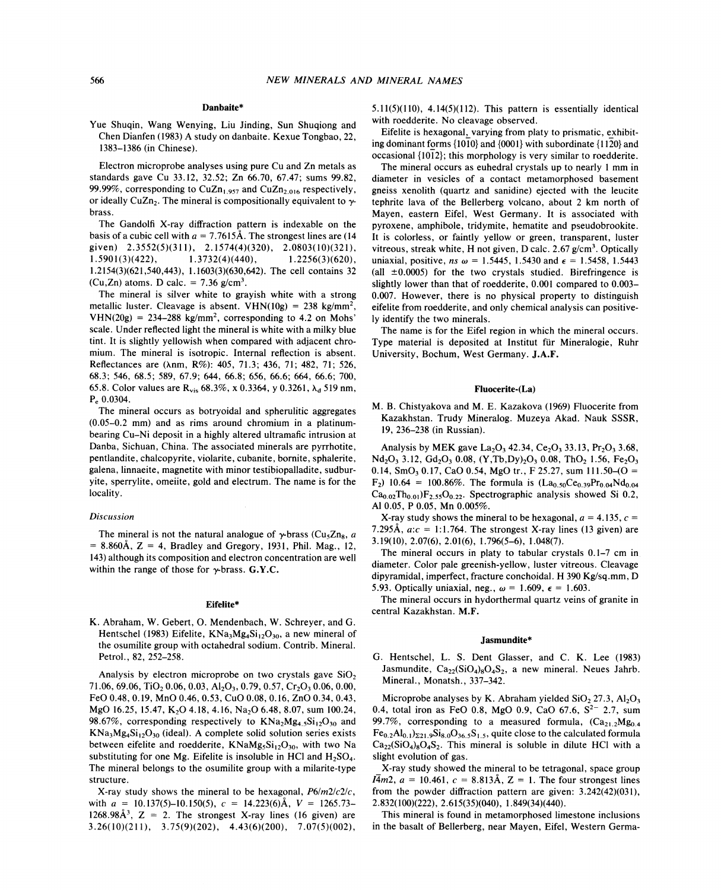## Danbaite\*

Vue Shuqin, Wang Wenying, Liu Jinding, Sun Shuqiong and Chen Dianfen (1983) A study on danbaite. Kexue Tongbao, 22, 1383-1386 (in Chinese).

Electron microprobe analyses using pure Cu and Zn metals as standards gave Cu 33.12, 32.52; Zn 66.70, 67.47; sums 99.82, 99.99%, corresponding to  $CuZn<sub>1.957</sub>$  and  $CuZn<sub>2.016</sub>$  respectively, or ideally CuZn<sub>2</sub>. The mineral is compositionally equivalent to  $\gamma$ brass.

The Gandolfi X-ray diffraction pattern is indexable on the basis of a cubic cell with  $a = 7.7615$ Å. The strongest lines are (14) given) 2.3552(5)(311), 2.1574(4)(320), 2.0803(10)(321), 1.5901(3)(422), 1.3732(4)(440), 1.2256(3)(620), 1.2154(3)(621,540,443), 1.1603(3)(630,642). The cell contains 32 (Cu,Zn) atoms. D calc. =  $7.36$  g/cm<sup>3</sup>.

The mineral is silver white to grayish white with a strong metallic luster. Cleavage is absent. VHN(10g) = 238 kg/mm<sup>2</sup>,  $VHN(20g) = 234-288$  kg/mm<sup>2</sup>, corresponding to 4.2 on Mohs<sup>3</sup> scale. Under reflected light the mineral is white with a milky blue tint. It is slightly yellowish when compared with adjacent chromium. The mineral is isotropic. Internal reflection is absent. Reflectances are (Anm, R%): 405, 71.3; 436, 71; 482, 71; 526, 68.3; 546, 68.5; 589, 67.9; 644, 66.8; 656, 66.6; 664, 66.6; 700, 65.8. Color values are  $R_{vis}$  68.3%, x 0.3364, y 0.3261,  $\lambda_d$  519 nm, P<sup>e</sup> 0.0304.

The mineral occurs as botryoidal and spherulitic aggregates (0.05-0.2 mm) and as rims around chromium in a platinumbearing Cu-Ni deposit in a highly altered ultramafic intrusion at Danba, Sichuan, China. The associated minerals are pyrrhotite, pentlandite, chalcopyrite, violarite, cubanite, bornite, sphalerite, galena, linnaeite, magnetite with minor testibiopalladite, sudburyite, sperrylite, omeiite, gold and electrum. The name is for the locality.

## *Discussion*

The mineral is not the natural analogue of  $\gamma$ -brass (Cu<sub>5</sub>Zn<sub>8</sub>, *a* = 8.860A, Z = 4, Bradley and Gregory, 1931, Phil. Mag., 12, 143) although its composition and electron concentration are well within the range of those for  $\gamma$ -brass. G.Y.C.

#### Eifelite\*

K. Abraham, W. Gebert, O. Mendenbach, W. Schreyer, and G. Hentschel (1983) Eifelite,  $KNa_3MgaSi_{12}O_{30}$ , a new mineral of the osumilite group with octahedral sodium. Contrib. Mineral. Petrol., 82, 252-258.

Analysis by electron microprobe on two crystals gave  $SiO<sub>2</sub>$ 71.06, 69.06, TiO<sub>2</sub> 0.06, 0.03, Al<sub>2</sub>O<sub>3</sub>, 0.79, 0.57, Cr<sub>2</sub>O<sub>3</sub> 0.06, 0.00, FeO 0.48, 0.19, MnO 0.46,0.53, CuO 0.08, 0.16, ZnO 0.34, 0.43, MgO 16.25, 15.47, K<sub>2</sub>O 4.18, 4.16, Na<sub>2</sub>O 6.48, 8.07, sum 100.24, 98.67%, corresponding respectively to  $KNa_2Mg_4S_1^2O_{30}$  and  $KNa_3Mg_4Si_{12}O_{30}$  (ideal). A complete solid solution series exists between eifelite and roedderite,  $KNaMg_5Si_{12}O_{30}$ , with two Na substituting for one Mg. Eifelite is insoluble in HCl and  $H_2SO_4$ . The mineral belongs to the osumilite group with a milarite-type structure.

X-ray study shows the mineral to be hexagonal, *P6/m2/c2/c,* with  $a = 10.137(5) - 10.150(5)$ ,  $c = 14.223(6)$ Å,  $V = 1265.73$ 1268.98 $A^3$ , Z = 2. The strongest X-ray lines (16 given) are 3.26(10)(211), 3.75(9)(202), 4.43(6)(200), 7.07(5)(002), 5.11(5)(110), 4.14(5)(112). This pattern is essentially identical with roedderite. No cleavage observed.

Eifelite is hexagonal, varying from platy to prismatic, exhibiting dominant forms  ${1010}$  and  ${0001}$  with subordinate  ${1120}$  and occasional {10t2}; this morphology is very similar to roedderite.

The mineral occurs as euhedral crystals up to nearly 1 mm in diameter in vesicles of a contact metamorphosed basement gneiss xenolith (quartz and sanidine) ejected with the leucite tephrite lava of the Bellerberg volcano, about 2 km north of Mayen, eastern Eifel, West Germany. It is associated with pyroxene, amphibole, tridymite, hematite and pseudobrookite. It is colorless, or faintly yellow or green, transparent, luster vitreous, streak white, H not given, D calc. 2.67  $g/cm<sup>3</sup>$ . Optically uniaxial, positive, *ns*  $\omega = 1.5445, 1.5430$  and  $\epsilon = 1.5458, 1.5443$ (all  $\pm 0.0005$ ) for the two crystals studied. Birefringence is slightly lower than that of roedderite, 0.001 compared to 0.003- 0.007. However, there is no physical property to distinguish eifelite from roedderite, and only chemical analysis can positively identify the two minerals.

The name is for the Eifel region in which the mineral occurs. Type material is deposited at Institut fur Mineralogie, Ruhr University, Bochum, West Germany. J.A.F.

#### Fluocerite-(La)

M. B. Chistyakova and M. E. Kazakova (1969) Fluocerite from Kazakhstan. Trudy Mineralog. Muzeya Akad. Nauk SSSR, 19, 236-238 (in Russian).

Analysis by MEK gave La<sub>2</sub>O<sub>3</sub> 42.34, Ce<sub>2</sub>O<sub>3</sub> 33.13, Pr<sub>2</sub>O<sub>3</sub> 3.68,  $Nd<sub>2</sub>O<sub>3</sub> 3.12, Gd<sub>2</sub>O<sub>3</sub> 0.08, (Y, Tb, Dy)<sub>2</sub>O<sub>3</sub> 0.08, ThO<sub>2</sub> 1.56, Fe<sub>2</sub>O<sub>3</sub>$ 0.14, SmO<sub>3</sub> 0.17, CaO 0.54, MgO tr., F 25.27, sum 111.50–(O =  $F_2$ ) 10.64 = 100.86%. The formula is  $(La_{0.50}Ce_{0.39}Pr_{0.04}Nd_{0.04})$  $Ca_{0.02}Th_{0.01}F_{2.55}O_{0.22}$ . Spectrographic analysis showed Si 0.2, Al 0.05, P 0.05, Mn 0.005%.

X-ray study shows the mineral to be hexagonal,  $a = 4.135$ ,  $c =$ 7.295Å,  $a:c = 1:1.764$ . The strongest X-ray lines (13 given) are 3.19(10),2.07(6),2.01(6), 1.796(5-6), 1.048(7).

The mineral occurs in platy to tabular crystals 0.1-7 cm in diameter. Color pale greenish-yellow, luster vitreous. Cleavage dipyramidal, imperfect, fracture conchoidal. H 390 Kg/sq.mm, D 5.93. Optically uniaxial, neg.,  $\omega = 1.609$ ,  $\epsilon = 1.603$ .

The mineral occurs in hydorthermal quartz veins of granite in central Kazakhstan. M.F.

#### Jasmundite\*

G. Hentschel, L. S. Dent Glasser, and C. K. Lee (1983) Jasmundite,  $Ca_{22}(SiO_4)_8O_4S_2$ , a new mineral. Neues Jahrb. Mineral., Monatsh., 337-342.

Microprobe analyses by K. Abraham yielded  $SiO<sub>2</sub> 27.3$ , Al<sub>2</sub>O<sub>3</sub> 0.4, total iron as FeO 0.8, MgO 0.9, CaO 67.6,  $S^{2-}$  2.7, sum 99.7%, corresponding to a measured formula,  $(Ca_{21.2}Mg_{0.4})$  $Fe_{0.2}Al_{0.1}$  $\Sigma_{21.9}Si_{8.0}O_{36.5}S_{1.5}$ , quite close to the calculated formula  $Ca_{22}(SiO_4)_8O_4S_2$ . This mineral is soluble in dilute HCl with a slight evolution of gas.

X-ray study showed the mineral to be tetragonal, space group *IAm2,*  $a = 10.461$ *,*  $c = 8.813\text{\AA}$ *,*  $Z = 1$ *. The four strongest lines* from the powder diffraction pattern are given: 3.242(42)(031), 2.832(100)(222), 2.615(35)(040), 1.849(34)(440).

This mineral is found in metamorphosed limestone inclusions in the basalt of Bellerberg, near Mayen, Eifel, Western Germa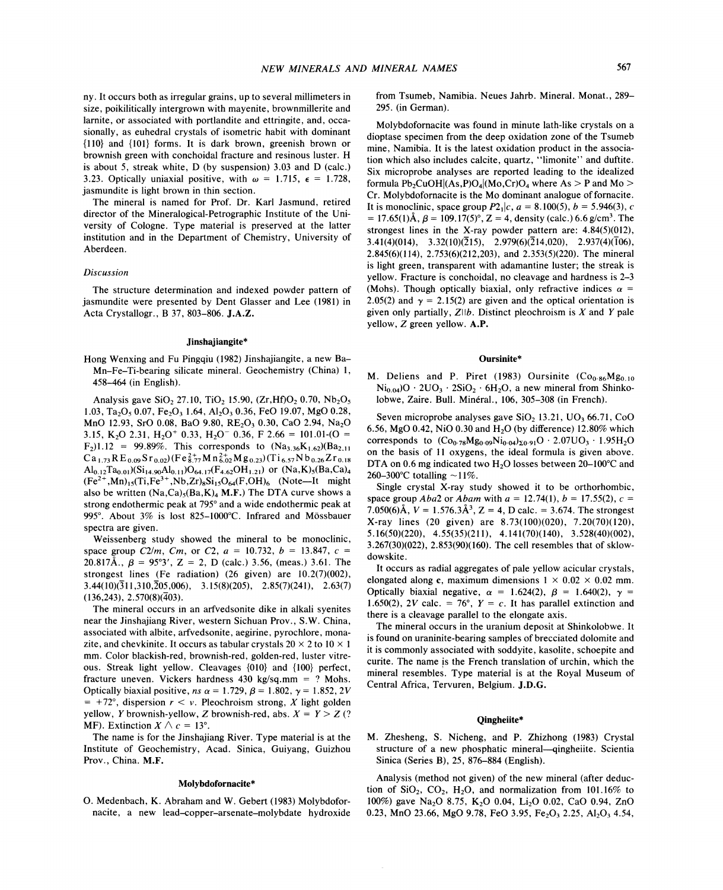ny. It occurs both as irregular grains, up to several millimeters in size, poikilitically intergrown with mayenite, brownmillerite and larnite, or associated with portlandite and ettringite, and, occasionally, as euhedral crystals of isometric habit with dominant {110} and {101} forms. It is dark brown, greenish brown or brownish green with conchoidal fracture and resinous luster. H is about 5, streak white, D (by suspension) 3.03 and D (calc.) 3.23. Optically uniaxial positive, with  $\omega = 1.715$ ,  $\epsilon = 1.728$ , jasmundite is light brown in thin section.

The mineral is named for Prof. Dr. Karl Jasmund, retired director of the Mineralogical-Petrographic Institute of the University of Cologne. Type material is preserved at the latter institution and in the Department of Chemistry, University of Aberdeen.

#### *Discussion*

The structure determination and indexed powder pattern of jasmundite were presented by Dent Glasser and Lee (1981) in Acta Crystallogr., B 37, 803-806. J.A.Z.

#### Jinshajiangite\*

Hong Wenxing and Fu Pingqiu (1982) Jinshajiangite, a new Ba-Mn-Fe-Ti-bearing silicate mineral. Geochemistry (China) 1, 458-464 (in English).

Analysis gave SiO<sub>2</sub> 27.10, TiO<sub>2</sub> 15.90,  $(Zr, Hf)O_2$  0.70,  $Nb_2O_5$ 1.03, Ta<sub>2</sub>O<sub>5</sub> 0.07, Fe<sub>2</sub>O<sub>3</sub> 1.64, Al<sub>2</sub>O<sub>3</sub> 0.36, FeO 19.07, MgO 0.28, MnO 12.93, SrO 0.08, BaO 9.80, RE<sub>2</sub>O<sub>3</sub> 0.30, CaO 2.94, Na<sub>2</sub>O 3.15, K<sub>2</sub>O 2.31, H<sub>2</sub>O<sup>+</sup> 0.33, H<sub>2</sub>O<sup>-</sup> 0.36, F 2.66 = 101.01-(O =  $F_2$ )1.12 = 99.89%. This corresponds to  $(Na_{3.36}K_{1.62})(Ba_{2.11})$  $Ca_{1.73}RE_{0.09}Sr_{0.02}(Fe_{8.77}^{2+}Mn_{6.02}^{2+}Mg_{0.23})(Ti_{6.57}Nb_{0.26}Zr_{0.18}$  $Al_{0.12} Ta_{0.01} (Si_{14.90} Al_{0.11}) O_{64.17}(F_{4.62}OH_{1.21})$  or  $(Na,K)_{5} (Ba,Ca)_{4}$  $(Fe^{2+}, Mn)_{15}(Ti, Fe^{3+}, Nb, Zr)_{8}Si_{15}O_{64}(F, OH)_{6}$  (Note--It might also be written  $(Na,Ca)_{5}(Ba,K)_{4}$  M.F.) The DTA curve shows a strong endothermic peak at 795° and a wide endothermic peak at 995°. About 3% is lost 825-1000°C. Infrared and Mössbauer spectra are given.

Weissenberg study showed the mineral to be monoclinic, space group *C2/m, Cm,* or *C2,*  $a = 10.732, b = 13.847, c =$ 20.817Å.,  $\beta = 95^{\circ}3'$ ,  $Z = 2$ , D (calc.) 3.56, (meas.) 3.61. The strongest lines (Fe radiation) (26 given) are 10.2(7)(002),  $3.44(10)(\overline{3}11,310,\overline{2}05,006)$ ,  $3.15(8)(205)$ ,  $2.85(7)(241)$ ,  $2.63(7)$  $(136,243), 2.570(8)(\overline{4}03).$ 

The mineral occurs in an arfvedsonite dike in alkali syenites near the Jinshajiang River, western Sichuan Prov., S.W. China, associated with albite, arfvedsonite, aegirine, pyrochlore, monazite, and chevkinite. It occurs as tabular crystals  $20 \times 2$  to  $10 \times 1$ mm. Color blackish-red, brownish-red, golden-red, luster vitreous. Streak light yellow. Cleavages {010} and {100} perfect, fracture uneven. Vickers hardness 430 kg/sq.mm = ? Mohs. Optically biaxial positive,  $ns \alpha = 1.729$ ,  $\beta = 1.802$ ,  $\gamma = 1.852$ ,  $2V = 1.382$  $= +72^{\circ}$ , dispersion  $r < v$ . Pleochroism strong, X light golden yellow, *Y* brownish-yellow, *Z* brownish-red, abs.  $X = Y > Z$  (? MF). Extinction  $X \wedge c = 13^{\circ}$ .

The name is for the Jinshajiang River. Type material is at the Institute of Geochemistry, Acad. Sinica, Guiyang, Guizhou Prov., China. M.F.

## Molybdofornacite\*

O. Medenbach, K. Abraham and W. Gebert (1983) Molybdofornacite, a new lead-copper-arsenate-molybdate hydroxide from Tsumeb, Namibia. Neues Jahrb. Mineral. Monat., 289-295. (in German).

Molybdofornacite was found in minute lath-like crystals on a dioptase specimen from the deep oxidation zone of the Tsumeb mine, Namibia. It is the latest oxidation product in the association which also includes calcite, quartz, "limonite" and duftite. Six microprobe analyses are reported leading to the idealized formula  $Pb_2CuOH|(As, P)O_4|(Mo, Cr)O_4$  where As > P and Mo > Cr. Molybdofornacite is the Mo dominant analogue of fornacite. It is monoclinic, space group  $P2_1|c, a = 8.100(5), b = 5.946(3), c$ = 17.65(1) $\AA$ ,  $\beta$  = 109.17(5)°, Z = 4, density (calc.) 6.6 g/cm<sup>3</sup>. The strongest lines in the X-ray powder pattern are:  $4.84(5)(012)$ , 3.41(4)(014), 3.32(10)( $\overline{2}15$ ), 2.979(6)( $\overline{2}14,020$ ), 2.937(4)( $\overline{1}06$ ), 2.845(6)(114), 2.753(6)(212,203), and 2.353(5)(220). The mineral is light green, transparent with adamantine luster; the streak is yellow. Fracture is conchoidal, no cleavage and hardness is 2-3 (Mohs). Though optically biaxial, only refractive indices  $\alpha$  = 2.05(2) and  $\gamma = 2.15(2)$  are given and the optical orientation is given only partially, Zllb. Distinct pleochroism is *X* and *Y* pale yellow, Z green yellow. A.P.

#### Oursinite\*

M. Deliens and P. Piret (1983) Oursinite  $(C_{0.86}Mg_{0.10})$  $Ni<sub>0.04</sub>$ ) $O \cdot 2UO<sub>3</sub> \cdot 2SiO<sub>2</sub> \cdot 6H<sub>2</sub>O$ , a new mineral from Shinkolobwe, Zaire. Bull. Minéral., 106, 305-308 (in French).

Seven microprobe analyses gave SiO<sub>2</sub> 13.21, *UO<sub>3</sub>* 66.71, *CoO* 6.56, MgO 0.42, NiO 0.30 and  $H_2O$  (by difference) 12.80% which corresponds to  $(Co_0.78Mg_0.09Ni_0.04)_{20.91}O \cdot 2.07UO_3 \cdot 1.95H_2O$ on the basis of 11 oxygens, the ideal formula is given above. DTA on 0.6 mg indicated two  $H_2O$  losses between 20-100°C and 260-300°C totalling  $\sim$ 11%.

Single crystal X-ray study showed it to be orthorhombic, space group *Aba2* or *Abam* with  $a = 12.74(1)$ ,  $b = 17.55(2)$ ,  $c =$ 7.050(6) $\AA$ ,  $V = 1.576.3\AA^3$ ,  $Z = 4$ , D calc. = 3.674. The stronges X-ray lines (20 given) are  $8.73(100)(020)$ ,  $7.20(70)(120)$ , 5.16(50)(220), 4.55(35)(211), 4.141(70)(140), 3.528(40)(002), 3.267(30)(022), 2.853(90)(160). The cell resembles that of sklowdowskite.

It occurs as radial aggregates of pale yellow acicular crystals, elongated along c, maximum dimensions  $1 \times 0.02 \times 0.02$  mm. Optically biaxial negative,  $\alpha = 1.624(2), \ \beta = 1.640(2), \ \gamma = 1.628(2), 3$ 1.650(2), 2V calc. = 76°,  $Y = c$ . It has parallel extinction and there is a cleavage parallel to the elongate axis.

The mineral occurs in the uranium deposit at Shinkolobwe. It is found on uraninite-bearing samples of brecciated dolomite and it is commonly associated with soddyite, kasolite, schoepite and curite. The name is the French translation of urchin, which the mineral resembles. Type material is at the Royal Museum of Central Africa, Tervuren, Belgium. J.D.G.

#### Qingheiite\*

M. Zhesheng, S. Nicheng, and P. Zhizhong (1983) Crystal structure of a new phosphatic mineral-qingheiite. Scientia Sinica (Series B), 25, 876-884 (English).

Analysis (method not given) of the new mineral (after deduction of  $SiO<sub>2</sub>$ ,  $CO<sub>2</sub>$ ,  $H<sub>2</sub>O$ , and normalization from 101.16% to 100%) gave NazO 8.75, KzO 0.04, LizO 0.02, CaO 0.94, ZnO 0.23, MnO 23.66, MgO 9.78, FeO 3.95, Fe<sub>2</sub>O<sub>3</sub> 2.25, Al<sub>2</sub>O<sub>3</sub> 4.54,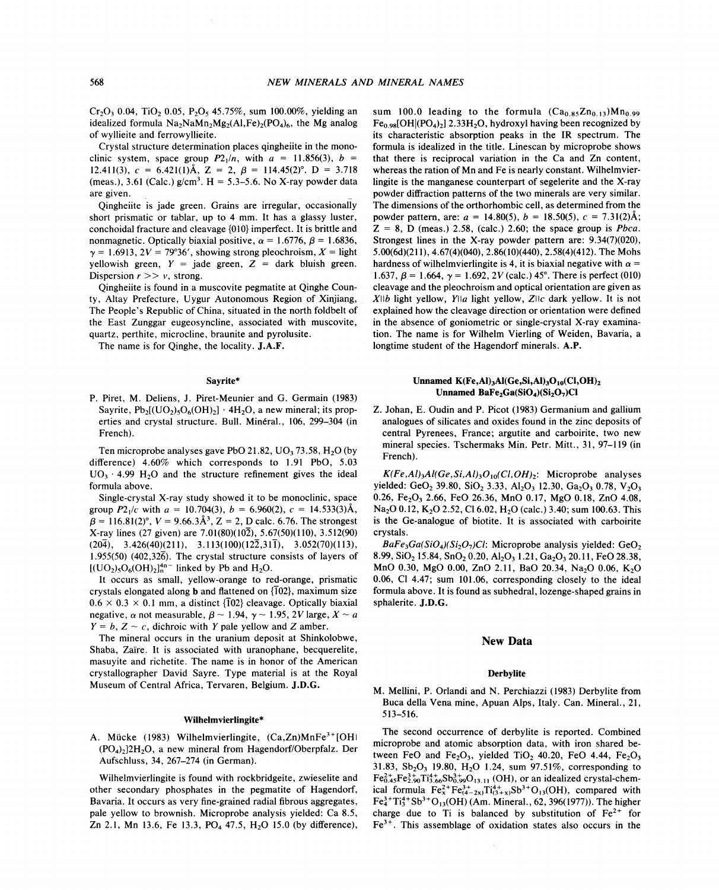Cr<sub>2</sub>O<sub>3</sub> 0.04, TiO<sub>2</sub> 0.05, P<sub>2</sub>O<sub>5</sub> 45.75%, sum 100.00%, yielding an idealized formula  $Na_2NaMn_2Mg_2(A1,Fe)_2(PO_4)_6$ , the Mg analog of wyllieite and ferrowyllieite.

Crystal structure determination places qingheiite in the monoclinic system, space group  $P2_1/n$ , with  $a = 11.856(3)$ ,  $b =$ 12.411(3),  $c = 6.421(1)$ Å,  $Z = 2$ ,  $\beta = 114.45(2)$ °.  $D = 3.718$ (meas.), 3.61 (Calc.)  $g/cm^3$ . H = 5.3–5.6. No X-ray powder data are given.

Qingheiite is jade green. Grains are irregular, occasionally short prismatic or tablar, up to 4 mm. It has a glassy luster, conchoidal fracture and cleavage {010} imperfect. It is brittle and nonmagnetic. Optically biaxial positive,  $\alpha = 1.6776, \beta = 1.6836,$  $\gamma = 1.6913$ ,  $2V = 79^{\circ}36'$ , showing strong pleochroism,  $X =$  light yellowish green, *Y* = jade green, Z = dark bluish green. Dispersion  $r \gg v$ , strong.

Qingheiite is found in a muscovite pegmatite at Qinghe County, Altay Prefecture, Uygur Autonomous Region of Xinjiang, The People's Republic of China, situated in the north foldbelt of the East Zunggar eugeosyncline, associated with muscovite, quartz, perthite, microcline, braunite and pyrolusite.

The name is for Qinghe, the locality. J.A.F.

#### Sayrite\*

P. Piret, M. Deliens, J. Piret -Meunier and G. Germain (1983) Sayrite,  $Pb_2[(UO_2), O_6(OH)_2] \cdot 4H_2O$ , a new mineral; its properties and crystal structure. Bull. Minéral., 106, 299-304 (in French).

Ten microprobe analyses gave PbO 21.82,  $UO_3$  73.58,  $H_2O$  (by difference) 4.60% which corresponds to 1.91 PbO, 5.03  $UO_3 \tcdot 4.99$  H<sub>2</sub>O and the structure refinement gives the ideal formula above.

Single-crystal X-ray study showed it to be monoclinic, space group  $P2_1/c$  with  $a = 10.704(3)$ ,  $b = 6.960(2)$ ,  $c = 14.533(3)$ Å  $\beta = 116.81(2)^\circ$ ,  $V = 9.66.3\text{\AA}^3$ ,  $Z = 2$ , D calc. 6.76. The stronges X-ray lines (27 given) are 7.01(80)(102), 5.67(50)(110), 3.512(90)  $(20\overline{4}), \quad 3.426(40)(211), \quad 3.113(100)(12\overline{2},31\overline{1}), \quad 3.052(70)(113),$ 1.955(50) (402,32 $\overline{6}$ ). The crystal structure consists of layers of  $[(UO<sub>2</sub>)<sub>5</sub>O<sub>6</sub>(OH)<sub>2</sub>]<sub>n</sub><sup>4n–</sup> linked by Pb and H<sub>2</sub>O.$ 

It occurs as small, yellow-orange to red-orange, prismatic crystals elongated along **b** and flattened on  $\{102\}$ , maximum size  $0.6 \times 0.3 \times 0.1$  mm, a distinct {102} cleavage. Optically biaxial negative,  $\alpha$  not measurable,  $\beta \sim 1.94$ ,  $\gamma \sim 1.95$ , 2V large,  $X \sim a$  $Y = b$ ,  $Z \sim c$ , dichroic with *Y* pale yellow and *Z* amber.

The mineral occurs in the uranium deposit at Shinkolobwe, Shaba, Zaire. It is associated with uranophane, becquerelite, masuyite and richetite. The name is in honor of the American crystallographer David Sayre. Type material is at the Royal Museum of Central Africa, Tervaren, Belgium. J.D.G.

#### Wilhelmvierlingite\*

A. Mücke (1983) Wilhelmvierlingite,  $(Ca, Zn)MnFe<sup>3+</sup>[OH]$  $(PO<sub>4</sub>)<sub>2</sub>|2H<sub>2</sub>O$ , a new mineral from Hagendorf/Oberpfalz. Der Aufschluss, 34, 267-274 (in German).

Wilhelmvierlingite is found with rockbridgeite, zwieselite and other secondary phosphates in the pegmatite of Hagendorf, Bavaria. It occurs as very fine-grained radial fibrous aggregates, pale yellow to brownish. Microprobe analysis yielded: Ca 8.5, Zn 2.1, Mn 13.6, Fe 13.3, PO<sub>4</sub> 47.5, H<sub>2</sub>O 15.0 (by difference),

sum 100.0 leading to the formula  $(Ca_{0.85}Zn_{0.13})Mn_{0.99}$  $Fe<sub>0.98</sub>[OH|(PO<sub>4</sub>)<sub>2</sub>]$  2.33H<sub>2</sub>O, hydroxyl having been recognized by its characteristic absorption peaks in the IR spectrum. The formula is idealized in the title. Linescan by microprobe shows that there is reciprocal variation in the Ca and Zn content, whereas the ration of Mn and Fe is nearly constant. Wilhelmvierlingite is the manganese counterpart of segelerite and the X-ray powder diffraction patterns of the two minerals are very similar. The dimensions of the orthorhombic cell, as determined from the powder pattern, are:  $a = 14.80(5)$ ,  $b = 18.50(5)$ ,  $c = 7.31(2)$ Å  $Z = 8$ , D (meas.) 2.58, (calc.) 2.60; the space group is *Pbca*. Strongest lines in the X-ray powder pattern are: 9.34(7)(020), 5.00(6d)(21l), 4.67(4)(040), 2.86(10)(440), 2.58(4)(412). The Mohs hardness of wilhelmvierlingite is 4, it is biaxial negative with  $\alpha =$ 1.637,  $\beta = 1.664$ ,  $\gamma = 1.692$ , 2V (calc.) 45°. There is perfect (010) cleavage and the pleochroism and optical orientation are given as Xllb light yellow, *Ylla* light yellow, Zllc dark yellow. It is not explained how the cleavage direction or orientation were defined in the absence of goniometric or single-crystal X-ray examination. The name is for Wilhelm Vierling of Weiden, Bavaria, a longtime student of the Hagendorf minerals. A.P.

## Unnamed  $K(Fe, Al)$ <sub>3</sub>Al(Ge, Si, Al)<sub>3</sub>O<sub>10</sub>(Cl, OH)<sub>2</sub> Unnamed BaFe<sub>2</sub>Ga(SiO<sub>4</sub>)(Si<sub>2</sub>O<sub>7</sub>)Cl

Z. Johan, E. Oudin and P. Picot (1983) Germanium and gallium analogues of silicates and oxides found in the zinc deposits of central Pyrenees, France; argutite and carboirite, two new mineral species. Tschermaks Min. Petr. Mitt., 31, 97-119 (in French).

 $K(Fe, Al)_3Al(Ge, Si, Al)_3O_{10}(Cl, OH)_2$ : Microprobe analyses yielded: GeO<sub>2</sub> 39.80, SiO<sub>2</sub> 3.33, Al<sub>2</sub>O<sub>3</sub> 12.30, Ga<sub>2</sub>O<sub>3</sub> 0.78, V<sub>2</sub>O<sub>3</sub> 0.26, Fe<sub>2</sub>O<sub>3</sub> 2.66, FeO 26.36, MnO 0.17, MgO 0.18, ZnO 4.08, Na<sub>2</sub>O 0.12, K<sub>2</sub>O 2.52, Cl 6.02, H<sub>2</sub>O (calc.) 3.40; sum 100.63. This is the Ge-analogue of biotite. It is associated with carboirite crystals.

 $BaFe<sub>3</sub>Ga(SiO<sub>4</sub>)(Si<sub>2</sub>O<sub>7</sub>)Cl$ : Microprobe analysis yielded: GeO<sub>2</sub> 8.99, SiO<sub>2</sub> 15.84, SnO<sub>2</sub> 0.20, Al<sub>2</sub>O<sub>3</sub> 1.21, Ga<sub>2</sub>O<sub>3</sub> 20.11, FeO 28.38, MnO 0.30, MgO 0.00, ZnO 2.11, BaO 20.34, Na<sub>2</sub>O 0.06, K<sub>2</sub>O 0.06, Cl 4.47; sum 101.06, corresponding closely to the ideal formula above. It is found as subhedral, lozenge-shaped grains in sphalerite. J.D.G.

#### New Data

#### Derbylite

M. Mellini, P. Orlandi and N. Perchiazzi (1983) Derbylite from Buca della Vena mine, Apuan Alps, Italy. Can. Mineral., 21, 513-516.

The second occurrence of derbylite is reported. Combined microprobe and atomic absorption data, with iron shared between FeO and Fe<sub>2</sub>O<sub>3</sub>, yielded TiO<sub>2</sub> 40.20, FeO 4.44, Fe<sub>2</sub>O<sub>3</sub> 31.83,  $Sb_2O_3$  19.80,  $H_2O$  1.24, sum 97.51%, corresponding to  $Fe_{0.45}^{2+}Fe_{2.90}^{3+}Ti_{3.66}^{4+}S_{0.99}^{3+}O_{13.11}$  (OH), or an idealized crystal-chemical formula  $Fe_{x}^{2+}Fe_{(4-2x)}^{3+}Ti_{(3+x)}^{4+}Sb^{3+}O_{13}(OH)$ , compared with  $Fe^{3+}_{4}Ti^{4+}_{3}Sb^{3+}O_{13}(OH)$  (Am. Mineral., 62, 396(1977)). The higher charge due to Ti is balanced by substitution of  $Fe<sup>2+</sup>$  for Fe3+. This assemblage of oxidation states also occurs in the